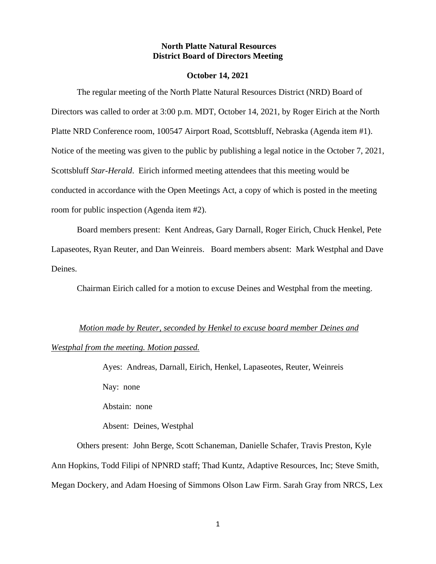#### **North Platte Natural Resources District Board of Directors Meeting**

#### **October 14, 2021**

The regular meeting of the North Platte Natural Resources District (NRD) Board of Directors was called to order at 3:00 p.m. MDT, October 14, 2021, by Roger Eirich at the North Platte NRD Conference room, 100547 Airport Road, Scottsbluff, Nebraska (Agenda item #1). Notice of the meeting was given to the public by publishing a legal notice in the October 7, 2021, Scottsbluff *Star-Herald*. Eirich informed meeting attendees that this meeting would be conducted in accordance with the Open Meetings Act, a copy of which is posted in the meeting room for public inspection (Agenda item #2).

Board members present: Kent Andreas, Gary Darnall, Roger Eirich, Chuck Henkel, Pete Lapaseotes, Ryan Reuter, and Dan Weinreis. Board members absent: Mark Westphal and Dave Deines.

Chairman Eirich called for a motion to excuse Deines and Westphal from the meeting.

## *Motion made by Reuter, seconded by Henkel to excuse board member Deines and*

#### *Westphal from the meeting. Motion passed.*

Ayes: Andreas, Darnall, Eirich, Henkel, Lapaseotes, Reuter, Weinreis Nay: none Abstain: none

Absent: Deines, Westphal

Others present: John Berge, Scott Schaneman, Danielle Schafer, Travis Preston, Kyle Ann Hopkins, Todd Filipi of NPNRD staff; Thad Kuntz, Adaptive Resources, Inc; Steve Smith, Megan Dockery, and Adam Hoesing of Simmons Olson Law Firm. Sarah Gray from NRCS, Lex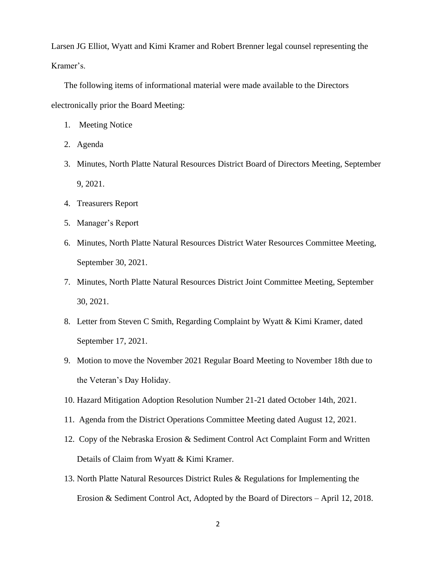Larsen JG Elliot, Wyatt and Kimi Kramer and Robert Brenner legal counsel representing the Kramer's.

The following items of informational material were made available to the Directors electronically prior the Board Meeting:

- 1. Meeting Notice
- 2. Agenda
- 3. Minutes, North Platte Natural Resources District Board of Directors Meeting, September 9, 2021.
- 4. Treasurers Report
- 5. Manager's Report
- 6. Minutes, North Platte Natural Resources District Water Resources Committee Meeting, September 30, 2021.
- 7. Minutes, North Platte Natural Resources District Joint Committee Meeting, September 30, 2021.
- 8. Letter from Steven C Smith, Regarding Complaint by Wyatt & Kimi Kramer, dated September 17, 2021.
- 9. Motion to move the November 2021 Regular Board Meeting to November 18th due to the Veteran's Day Holiday.
- 10. Hazard Mitigation Adoption Resolution Number 21-21 dated October 14th, 2021.
- 11. Agenda from the District Operations Committee Meeting dated August 12, 2021.
- 12. Copy of the Nebraska Erosion & Sediment Control Act Complaint Form and Written Details of Claim from Wyatt & Kimi Kramer.
- 13. North Platte Natural Resources District Rules & Regulations for Implementing the Erosion & Sediment Control Act, Adopted by the Board of Directors – April 12, 2018.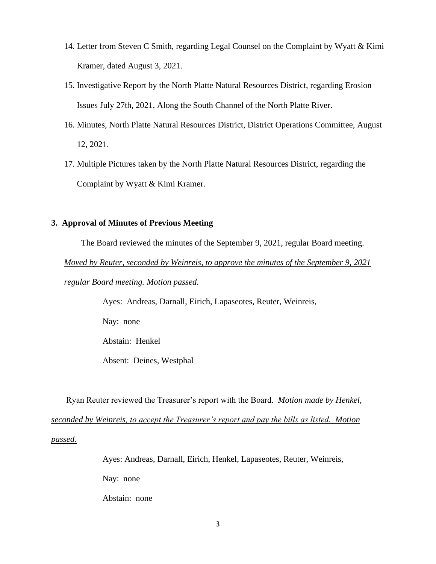- 14. Letter from Steven C Smith, regarding Legal Counsel on the Complaint by Wyatt & Kimi Kramer, dated August 3, 2021.
- 15. Investigative Report by the North Platte Natural Resources District, regarding Erosion Issues July 27th, 2021, Along the South Channel of the North Platte River.
- 16. Minutes, North Platte Natural Resources District, District Operations Committee, August 12, 2021.
- 17. Multiple Pictures taken by the North Platte Natural Resources District, regarding the Complaint by Wyatt & Kimi Kramer.

## **3. Approval of Minutes of Previous Meeting**

The Board reviewed the minutes of the September 9, 2021, regular Board meeting.

*Moved by Reuter, seconded by Weinreis, to approve the minutes of the September 9, 2021* 

*regular Board meeting. Motion passed.*

Ayes: Andreas, Darnall, Eirich, Lapaseotes, Reuter, Weinreis,

Nay: none

Abstain: Henkel

Absent: Deines, Westphal

 Ryan Reuter reviewed the Treasurer's report with the Board. *Motion made by Henkel, seconded by Weinreis, to accept the Treasurer's report and pay the bills as listed. Motion passed.*

> Ayes: Andreas, Darnall, Eirich, Henkel, Lapaseotes, Reuter, Weinreis, Nay: none Abstain: none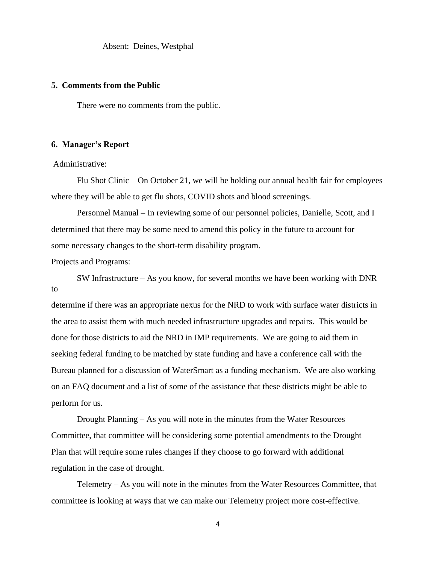Absent: Deines, Westphal

#### **5. Comments from the Public**

There were no comments from the public.

#### **6. Manager's Report**

### Administrative:

Flu Shot Clinic – On October 21, we will be holding our annual health fair for employees where they will be able to get flu shots, COVID shots and blood screenings.

Personnel Manual – In reviewing some of our personnel policies, Danielle, Scott, and I determined that there may be some need to amend this policy in the future to account for some necessary changes to the short-term disability program.

Projects and Programs:

SW Infrastructure – As you know, for several months we have been working with DNR to

determine if there was an appropriate nexus for the NRD to work with surface water districts in the area to assist them with much needed infrastructure upgrades and repairs. This would be done for those districts to aid the NRD in IMP requirements. We are going to aid them in seeking federal funding to be matched by state funding and have a conference call with the Bureau planned for a discussion of WaterSmart as a funding mechanism. We are also working on an FAQ document and a list of some of the assistance that these districts might be able to perform for us.

Drought Planning – As you will note in the minutes from the Water Resources Committee, that committee will be considering some potential amendments to the Drought Plan that will require some rules changes if they choose to go forward with additional regulation in the case of drought.

Telemetry – As you will note in the minutes from the Water Resources Committee, that committee is looking at ways that we can make our Telemetry project more cost-effective.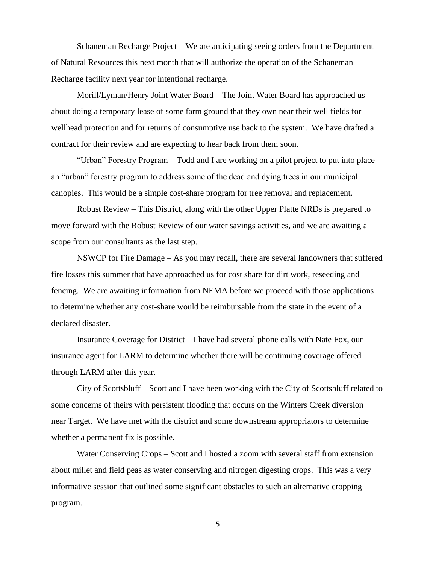Schaneman Recharge Project – We are anticipating seeing orders from the Department of Natural Resources this next month that will authorize the operation of the Schaneman Recharge facility next year for intentional recharge.

Morill/Lyman/Henry Joint Water Board – The Joint Water Board has approached us about doing a temporary lease of some farm ground that they own near their well fields for wellhead protection and for returns of consumptive use back to the system. We have drafted a contract for their review and are expecting to hear back from them soon.

"Urban" Forestry Program – Todd and I are working on a pilot project to put into place an "urban" forestry program to address some of the dead and dying trees in our municipal canopies. This would be a simple cost-share program for tree removal and replacement.

Robust Review – This District, along with the other Upper Platte NRDs is prepared to move forward with the Robust Review of our water savings activities, and we are awaiting a scope from our consultants as the last step.

NSWCP for Fire Damage – As you may recall, there are several landowners that suffered fire losses this summer that have approached us for cost share for dirt work, reseeding and fencing. We are awaiting information from NEMA before we proceed with those applications to determine whether any cost-share would be reimbursable from the state in the event of a declared disaster.

Insurance Coverage for District – I have had several phone calls with Nate Fox, our insurance agent for LARM to determine whether there will be continuing coverage offered through LARM after this year.

City of Scottsbluff – Scott and I have been working with the City of Scottsbluff related to some concerns of theirs with persistent flooding that occurs on the Winters Creek diversion near Target. We have met with the district and some downstream appropriators to determine whether a permanent fix is possible.

Water Conserving Crops – Scott and I hosted a zoom with several staff from extension about millet and field peas as water conserving and nitrogen digesting crops. This was a very informative session that outlined some significant obstacles to such an alternative cropping program.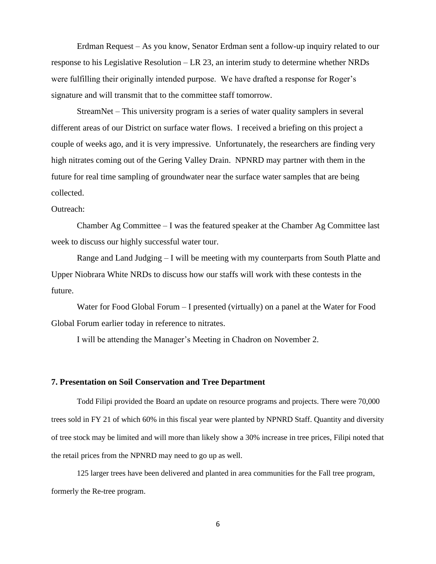Erdman Request – As you know, Senator Erdman sent a follow-up inquiry related to our response to his Legislative Resolution – LR 23, an interim study to determine whether NRDs were fulfilling their originally intended purpose. We have drafted a response for Roger's signature and will transmit that to the committee staff tomorrow.

StreamNet – This university program is a series of water quality samplers in several different areas of our District on surface water flows. I received a briefing on this project a couple of weeks ago, and it is very impressive. Unfortunately, the researchers are finding very high nitrates coming out of the Gering Valley Drain. NPNRD may partner with them in the future for real time sampling of groundwater near the surface water samples that are being collected.

#### Outreach:

Chamber Ag Committee – I was the featured speaker at the Chamber Ag Committee last week to discuss our highly successful water tour.

Range and Land Judging – I will be meeting with my counterparts from South Platte and Upper Niobrara White NRDs to discuss how our staffs will work with these contests in the future.

Water for Food Global Forum – I presented (virtually) on a panel at the Water for Food Global Forum earlier today in reference to nitrates.

I will be attending the Manager's Meeting in Chadron on November 2.

#### **7. Presentation on Soil Conservation and Tree Department**

Todd Filipi provided the Board an update on resource programs and projects. There were 70,000 trees sold in FY 21 of which 60% in this fiscal year were planted by NPNRD Staff. Quantity and diversity of tree stock may be limited and will more than likely show a 30% increase in tree prices, Filipi noted that the retail prices from the NPNRD may need to go up as well.

125 larger trees have been delivered and planted in area communities for the Fall tree program, formerly the Re-tree program.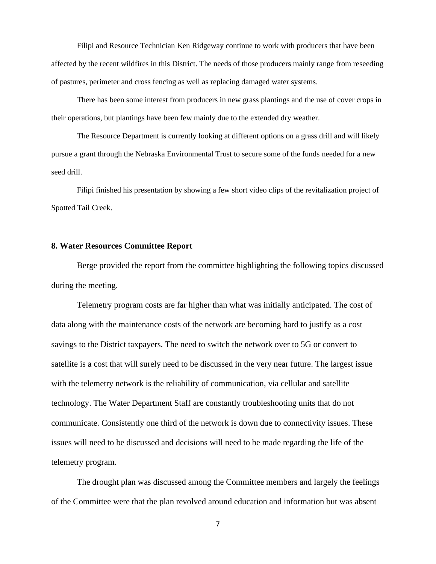Filipi and Resource Technician Ken Ridgeway continue to work with producers that have been affected by the recent wildfires in this District. The needs of those producers mainly range from reseeding of pastures, perimeter and cross fencing as well as replacing damaged water systems.

There has been some interest from producers in new grass plantings and the use of cover crops in their operations, but plantings have been few mainly due to the extended dry weather.

The Resource Department is currently looking at different options on a grass drill and will likely pursue a grant through the Nebraska Environmental Trust to secure some of the funds needed for a new seed drill.

Filipi finished his presentation by showing a few short video clips of the revitalization project of Spotted Tail Creek.

#### **8. Water Resources Committee Report**

Berge provided the report from the committee highlighting the following topics discussed during the meeting.

Telemetry program costs are far higher than what was initially anticipated. The cost of data along with the maintenance costs of the network are becoming hard to justify as a cost savings to the District taxpayers. The need to switch the network over to 5G or convert to satellite is a cost that will surely need to be discussed in the very near future. The largest issue with the telemetry network is the reliability of communication, via cellular and satellite technology. The Water Department Staff are constantly troubleshooting units that do not communicate. Consistently one third of the network is down due to connectivity issues. These issues will need to be discussed and decisions will need to be made regarding the life of the telemetry program.

The drought plan was discussed among the Committee members and largely the feelings of the Committee were that the plan revolved around education and information but was absent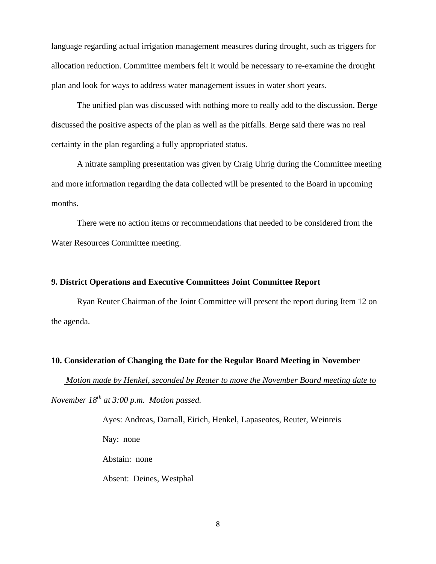language regarding actual irrigation management measures during drought, such as triggers for allocation reduction. Committee members felt it would be necessary to re-examine the drought plan and look for ways to address water management issues in water short years.

The unified plan was discussed with nothing more to really add to the discussion. Berge discussed the positive aspects of the plan as well as the pitfalls. Berge said there was no real certainty in the plan regarding a fully appropriated status.

A nitrate sampling presentation was given by Craig Uhrig during the Committee meeting and more information regarding the data collected will be presented to the Board in upcoming months.

There were no action items or recommendations that needed to be considered from the Water Resources Committee meeting.

## **9. District Operations and Executive Committees Joint Committee Report**

Ryan Reuter Chairman of the Joint Committee will present the report during Item 12 on the agenda.

#### **10. Consideration of Changing the Date for the Regular Board Meeting in November**

 *Motion made by Henkel, seconded by Reuter to move the November Board meeting date to November 18th at 3:00 p.m. Motion passed.* 

> Ayes: Andreas, Darnall, Eirich, Henkel, Lapaseotes, Reuter, Weinreis Nay: none Abstain: none Absent: Deines, Westphal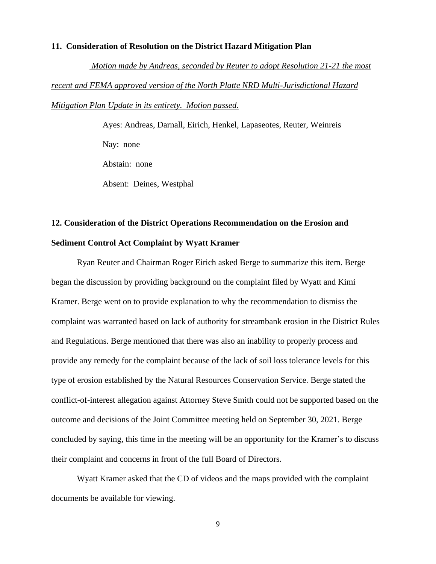#### **11. Consideration of Resolution on the District Hazard Mitigation Plan**

 *Motion made by Andreas, seconded by Reuter to adopt Resolution 21-21 the most recent and FEMA approved version of the North Platte NRD Multi-Jurisdictional Hazard Mitigation Plan Update in its entirety. Motion passed.* 

> Ayes: Andreas, Darnall, Eirich, Henkel, Lapaseotes, Reuter, Weinreis Nay: none Abstain: none Absent: Deines, Westphal

# **12. Consideration of the District Operations Recommendation on the Erosion and Sediment Control Act Complaint by Wyatt Kramer**

Ryan Reuter and Chairman Roger Eirich asked Berge to summarize this item. Berge began the discussion by providing background on the complaint filed by Wyatt and Kimi Kramer. Berge went on to provide explanation to why the recommendation to dismiss the complaint was warranted based on lack of authority for streambank erosion in the District Rules and Regulations. Berge mentioned that there was also an inability to properly process and provide any remedy for the complaint because of the lack of soil loss tolerance levels for this type of erosion established by the Natural Resources Conservation Service. Berge stated the conflict-of-interest allegation against Attorney Steve Smith could not be supported based on the outcome and decisions of the Joint Committee meeting held on September 30, 2021. Berge concluded by saying, this time in the meeting will be an opportunity for the Kramer's to discuss their complaint and concerns in front of the full Board of Directors.

Wyatt Kramer asked that the CD of videos and the maps provided with the complaint documents be available for viewing.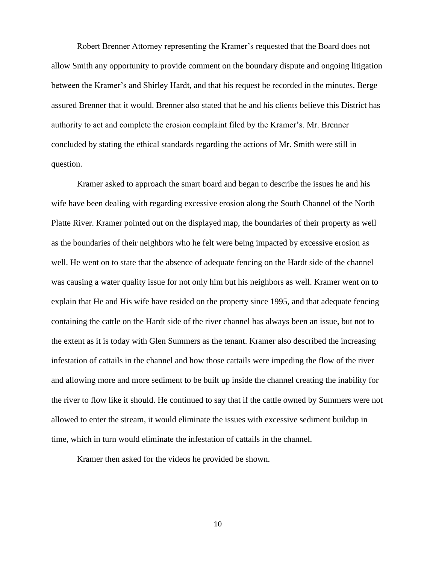Robert Brenner Attorney representing the Kramer's requested that the Board does not allow Smith any opportunity to provide comment on the boundary dispute and ongoing litigation between the Kramer's and Shirley Hardt, and that his request be recorded in the minutes. Berge assured Brenner that it would. Brenner also stated that he and his clients believe this District has authority to act and complete the erosion complaint filed by the Kramer's. Mr. Brenner concluded by stating the ethical standards regarding the actions of Mr. Smith were still in question.

Kramer asked to approach the smart board and began to describe the issues he and his wife have been dealing with regarding excessive erosion along the South Channel of the North Platte River. Kramer pointed out on the displayed map, the boundaries of their property as well as the boundaries of their neighbors who he felt were being impacted by excessive erosion as well. He went on to state that the absence of adequate fencing on the Hardt side of the channel was causing a water quality issue for not only him but his neighbors as well. Kramer went on to explain that He and His wife have resided on the property since 1995, and that adequate fencing containing the cattle on the Hardt side of the river channel has always been an issue, but not to the extent as it is today with Glen Summers as the tenant. Kramer also described the increasing infestation of cattails in the channel and how those cattails were impeding the flow of the river and allowing more and more sediment to be built up inside the channel creating the inability for the river to flow like it should. He continued to say that if the cattle owned by Summers were not allowed to enter the stream, it would eliminate the issues with excessive sediment buildup in time, which in turn would eliminate the infestation of cattails in the channel.

Kramer then asked for the videos he provided be shown.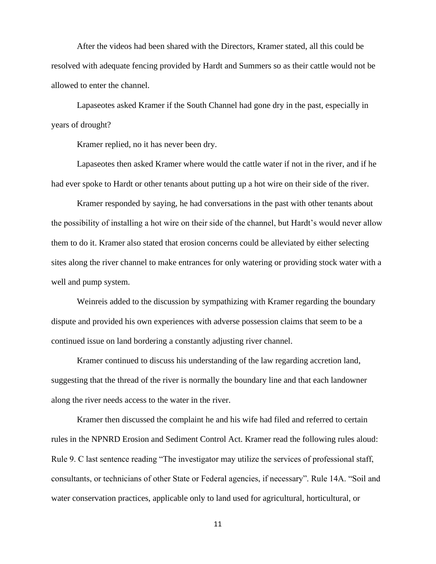After the videos had been shared with the Directors, Kramer stated, all this could be resolved with adequate fencing provided by Hardt and Summers so as their cattle would not be allowed to enter the channel.

Lapaseotes asked Kramer if the South Channel had gone dry in the past, especially in years of drought?

Kramer replied, no it has never been dry.

Lapaseotes then asked Kramer where would the cattle water if not in the river, and if he had ever spoke to Hardt or other tenants about putting up a hot wire on their side of the river.

Kramer responded by saying, he had conversations in the past with other tenants about the possibility of installing a hot wire on their side of the channel, but Hardt's would never allow them to do it. Kramer also stated that erosion concerns could be alleviated by either selecting sites along the river channel to make entrances for only watering or providing stock water with a well and pump system.

Weinreis added to the discussion by sympathizing with Kramer regarding the boundary dispute and provided his own experiences with adverse possession claims that seem to be a continued issue on land bordering a constantly adjusting river channel.

Kramer continued to discuss his understanding of the law regarding accretion land, suggesting that the thread of the river is normally the boundary line and that each landowner along the river needs access to the water in the river.

Kramer then discussed the complaint he and his wife had filed and referred to certain rules in the NPNRD Erosion and Sediment Control Act. Kramer read the following rules aloud: Rule 9. C last sentence reading "The investigator may utilize the services of professional staff, consultants, or technicians of other State or Federal agencies, if necessary". Rule 14A. "Soil and water conservation practices, applicable only to land used for agricultural, horticultural, or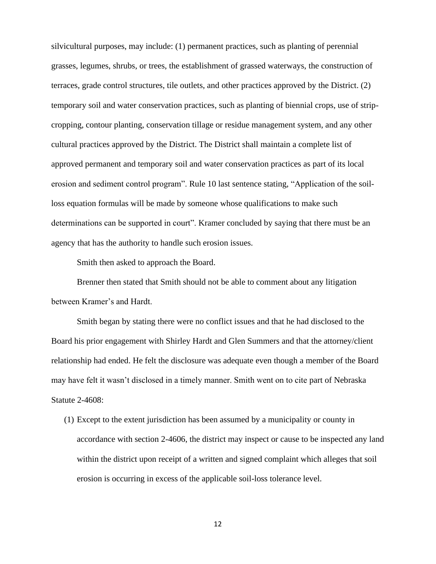silvicultural purposes, may include: (1) permanent practices, such as planting of perennial grasses, legumes, shrubs, or trees, the establishment of grassed waterways, the construction of terraces, grade control structures, tile outlets, and other practices approved by the District. (2) temporary soil and water conservation practices, such as planting of biennial crops, use of stripcropping, contour planting, conservation tillage or residue management system, and any other cultural practices approved by the District. The District shall maintain a complete list of approved permanent and temporary soil and water conservation practices as part of its local erosion and sediment control program". Rule 10 last sentence stating, "Application of the soilloss equation formulas will be made by someone whose qualifications to make such determinations can be supported in court". Kramer concluded by saying that there must be an agency that has the authority to handle such erosion issues.

Smith then asked to approach the Board.

Brenner then stated that Smith should not be able to comment about any litigation between Kramer's and Hardt.

Smith began by stating there were no conflict issues and that he had disclosed to the Board his prior engagement with Shirley Hardt and Glen Summers and that the attorney/client relationship had ended. He felt the disclosure was adequate even though a member of the Board may have felt it wasn't disclosed in a timely manner. Smith went on to cite part of Nebraska Statute 2-4608:

(1) Except to the extent jurisdiction has been assumed by a municipality or county in accordance with section 2-4606, the district may inspect or cause to be inspected any land within the district upon receipt of a written and signed complaint which alleges that soil erosion is occurring in excess of the applicable soil-loss tolerance level.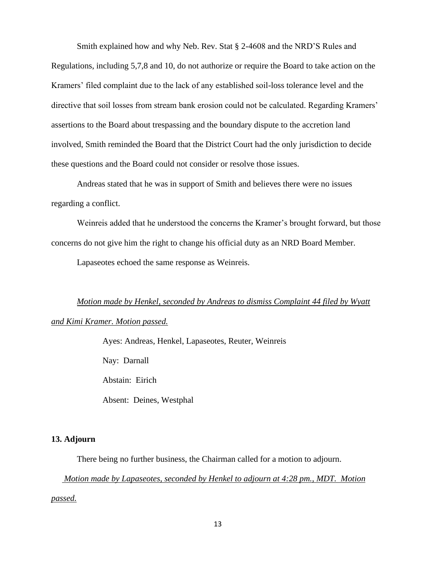Smith explained how and why Neb. Rev. Stat § 2-4608 and the NRD'S Rules and Regulations, including 5,7,8 and 10, do not authorize or require the Board to take action on the Kramers' filed complaint due to the lack of any established soil-loss tolerance level and the directive that soil losses from stream bank erosion could not be calculated. Regarding Kramers' assertions to the Board about trespassing and the boundary dispute to the accretion land involved, Smith reminded the Board that the District Court had the only jurisdiction to decide these questions and the Board could not consider or resolve those issues.

Andreas stated that he was in support of Smith and believes there were no issues regarding a conflict.

Weinreis added that he understood the concerns the Kramer's brought forward, but those concerns do not give him the right to change his official duty as an NRD Board Member.

Lapaseotes echoed the same response as Weinreis.

## *Motion made by Henkel, seconded by Andreas to dismiss Complaint 44 filed by Wyatt*

## *and Kimi Kramer. Motion passed.*

Ayes: Andreas, Henkel, Lapaseotes, Reuter, Weinreis Nay: Darnall Abstain: Eirich Absent: Deines, Westphal

#### **13. Adjourn**

There being no further business, the Chairman called for a motion to adjourn.

*Motion made by Lapaseotes, seconded by Henkel to adjourn at 4:28 pm., MDT. Motion* 

*passed.*